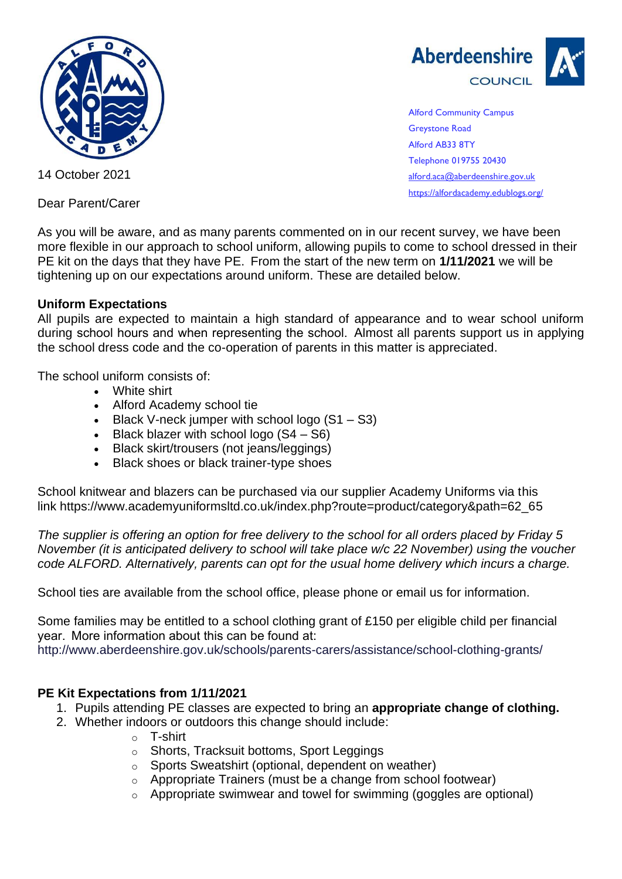

**Aberdeenshire COUNCIL** 

Alford Community Campus Greystone Road Alford AB33 8TY Telephone 019755 20430 [alford.aca@aberdeenshire.gov.uk](mailto:alford.aca@aberdeenshire.gov.uk) <https://alfordacademy.edublogs.org/>

14 October 2021

Dear Parent/Carer

As you will be aware, and as many parents commented on in our recent survey, we have been more flexible in our approach to school uniform, allowing pupils to come to school dressed in their PE kit on the days that they have PE. From the start of the new term on **1/11/2021** we will be tightening up on our expectations around uniform. These are detailed below.

## **Uniform Expectations**

All pupils are expected to maintain a high standard of appearance and to wear school uniform during school hours and when representing the school.  Almost all parents support us in applying the school dress code and the co-operation of parents in this matter is appreciated.

The school uniform consists of:

- White shirt
- Alford Academy school tie
- Black V-neck jumper with school logo  $(S1 S3)$
- Black blazer with school logo  $(S4 S6)$
- Black skirt/trousers (not jeans/leggings)
- Black shoes or black trainer-type shoes

School knitwear and blazers can be purchased via our supplier Academy Uniforms via this link [https://www.academyuniformsltd.co.uk/index.php?route=product/category&path=62\\_65](https://www.academyuniformsltd.co.uk/index.php?route=product/category&path=62_65)

*The supplier is offering an option for free delivery to the school for all orders placed by Friday 5 November (it is anticipated delivery to school will take place w/c 22 November) using the voucher code ALFORD. Alternatively, parents can opt for the usual home delivery which incurs a charge.*

School ties are available from the school office, please phone or email us for information.

Some families may be entitled to a school clothing grant of £150 per eligible child per financial year.  More information about this can be found at:

<http://www.aberdeenshire.gov.uk/schools/parents-carers/assistance/school-clothing-grants/>

## **PE Kit Expectations from 1/11/2021**

- 1. Pupils attending PE classes are expected to bring an **appropriate change of clothing.**
- 2. Whether indoors or outdoors this change should include:
	- o T-shirt
	- o Shorts, Tracksuit bottoms, Sport Leggings
	- o Sports Sweatshirt (optional, dependent on weather)
	- $\circ$  Appropriate Trainers (must be a change from school footwear)
	- o Appropriate swimwear and towel for swimming (goggles are optional)